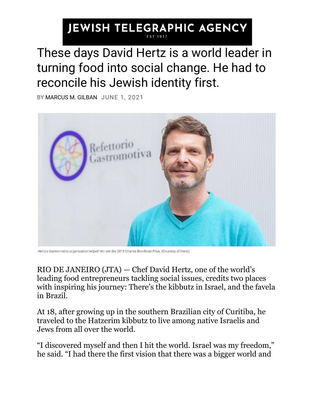## **JEWISH TELEGRAPHIC AGENCY**

These days David Hertz is a world leader in turning food into social change. He had to reconcile his Jewish identity first.

BY [MARCUS M. GILBAN](https://www.jta.org/author/marcus-moraes) JUNE 1, 2021



Hertz's Gastromotiva organization helped him win the 2019 Charles Bronfman Prize. (Courtesy of Hertz)

RIO DE JANEIRO [\(JTA\)](http://jta.org/) — Chef David Hertz, one of the world's leading food entrepreneurs tackling social issues, credits two places with inspiring his journey: There's the kibbutz in Israel, and the favela in Brazil.

At 18, after growing up in the southern Brazilian city of Curitiba, he traveled to the Hatzerim kibbutz to live among native Israelis and Jews from all over the world.

"I discovered myself and then I hit the world. Israel was my freedom," he said. "I had there the first vision that there was a bigger world and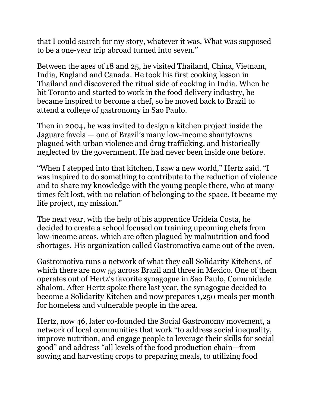that I could search for my story, whatever it was. What was supposed to be a one-year trip abroad turned into seven."

Between the ages of 18 and 25, he visited Thailand, China, Vietnam, India, England and Canada. He took his first cooking lesson in Thailand and discovered the ritual side of cooking in India. When he hit Toronto and started to work in the food delivery industry, he became inspired to become a chef, so he moved back to Brazil to attend a college of gastronomy in Sao Paulo.

Then in 2004, he was invited to design a kitchen project inside the Jaguare favela — one of Brazil's many low-income shantytowns plagued with urban violence and drug trafficking, and historically neglected by the government. He had never been inside one before.

"When I stepped into that kitchen, I saw a new world," Hertz said. "I was inspired to do something to contribute to the reduction of violence and to share my knowledge with the young people there, who at many times felt lost, with no relation of belonging to the space. It became my life project, my mission."

The next year, with the help of his apprentice Urideia Costa, he decided to create a school focused on training upcoming chefs from low-income areas, which are often plagued by malnutrition and food shortages. His organization called [Gastromotiva](https://gastromotiva.org/en/gastromotiva/) came out of the oven.

Gastromotiva runs a network of what they call Solidarity Kitchens, of which there are now 55 across Brazil and three in Mexico. One of them operates out of Hertz's favorite synagogue in Sao Paulo, Comunidade Shalom. After Hertz spoke there last year, the synagogue decided to become a Solidarity Kitchen and now prepares 1,250 meals per month for homeless and vulnerable people in the area.

Hertz, now 46, later co-founded the [Social Gastronomy movement,](https://www.socialgastronomy.org/what-is-social-gastronomy) a network of local communities that work "to address social inequality, improve nutrition, and engage people to leverage their skills for social good" and address "all levels of the food production chain—from sowing and harvesting crops to preparing meals, to utilizing food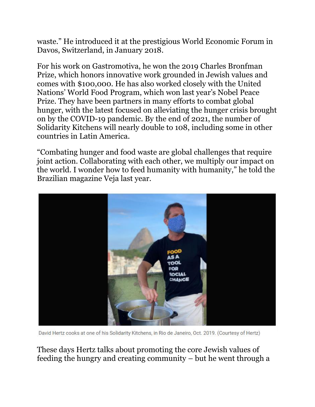waste." He introduced it at the prestigious World Economic Forum in Davos, Switzerland, in January 2018.

For his work on Gastromotiva, he won the 2019 [Charles Bronfman](https://thecharlesbronfmanprize.org/)  [Prize,](https://thecharlesbronfmanprize.org/) which honors innovative work grounded in Jewish values and comes with \$100,000. He has also worked closely with the United Nations' World Food Program, which won last year's Nobel Peace Prize. They have been partners in many efforts to combat global hunger, with the latest focused on alleviating the hunger crisis brought on by the COVID-19 pandemic. By the end of 2021, the number of Solidarity Kitchens will nearly double to 108, including some in other countries in Latin America.

"Combating hunger and food waste are global challenges that require joint action. Collaborating with each other, we multiply our impact on the world. I wonder how to feed humanity with humanity," he told the Brazilian magazine [Veja](https://vejario.abril.com.br/cidade/david-hertz-desperdicio/) last year.



David Hertz cooks at one of his Solidarity Kitchens, in Rio de Janeiro, Oct. 2019. (Courtesy of Hertz)

These days Hertz talks about promoting the core Jewish values of feeding the hungry and creating community – but he went through a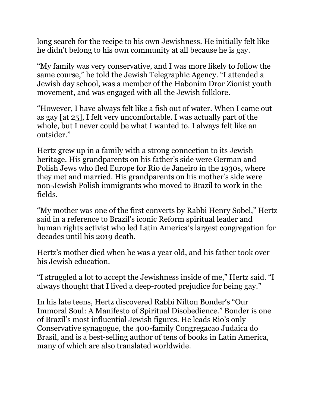long search for the recipe to his own Jewishness. He initially felt like he didn't belong to his own community at all because he is gay.

"My family was very conservative, and I was more likely to follow the same course," he told the Jewish Telegraphic Agency. "I attended a Jewish day school, was a member of the Habonim Dror Zionist youth movement, and was engaged with all the Jewish folklore.

"However, I have always felt like a fish out of water. When I came out as gay [at 25], I felt very uncomfortable. I was actually part of the whole, but I never could be what I wanted to. I always felt like an outsider."

Hertz grew up in a family with a strong connection to its Jewish heritage. His grandparents on his father's side were German and Polish Jews who fled Europe for Rio de Janeiro in the 1930s, where they met and married. His grandparents on his mother's side were non-Jewish Polish immigrants who moved to Brazil to work in the fields.

"My mother was one of the first converts by Rabbi Henry Sobel," Hertz said in a reference to [Brazil's iconic Reform spiritual leader and](https://www.jta.org/2019/11/24/obituaries/brazils-iconic-rabbi-henry-sobel-who-challenged-the-countrys-military-regime-mourned-by-jews-and-non-jews)  [human rights activist](https://www.jta.org/2019/11/24/obituaries/brazils-iconic-rabbi-henry-sobel-who-challenged-the-countrys-military-regime-mourned-by-jews-and-non-jews) who led Latin America's largest congregation for decades until his 2019 death.

Hertz's mother died when he was a year old, and his father took over his Jewish education.

"I struggled a lot to accept the Jewishness inside of me," Hertz said. "I always thought that I lived a deep-rooted prejudice for being gay."

In his late teens, Hertz discovered Rabbi Nilton Bonder's "Our Immoral Soul: A Manifesto of Spiritual Disobedience." Bonder is one of Brazil's most influential Jewish figures. He leads Rio's only Conservative synagogue, the 400-family Congregacao Judaica do Brasil, and is a best-selling author of tens of books in Latin America, many of which are also translated worldwide.